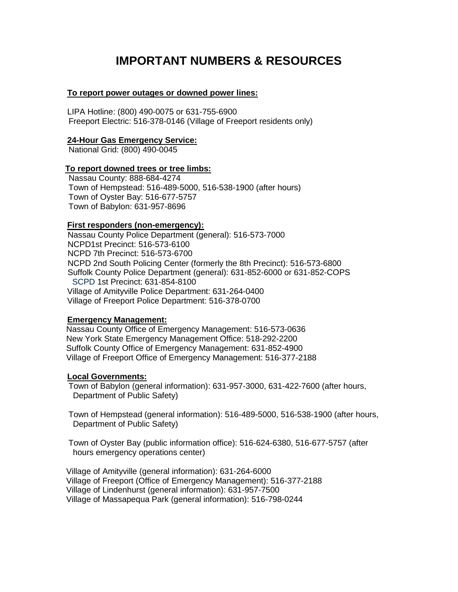# **IMPORTANT NUMBERS & RESOURCES**

## **To report power outages or downed power lines:**

LIPA Hotline: (800) 490-0075 or 631-755-6900 Freeport Electric: 516-378-0146 (Village of Freeport residents only)

## **24-Hour Gas Emergency Service:**

National Grid: (800) 490-0045

## **To report downed trees or tree limbs:**

 Nassau County: 888-684-4274 Town of Hempstead: 516-489-5000, 516-538-1900 (after hours) Town of Oyster Bay: 516-677-5757 Town of Babylon: 631-957-8696

## **First responders (non-emergency):**

 Nassau County Police Department (general): 516-573-7000 NCPD1st Precinct: 516-573-6100 NCPD 7th Precinct: 516-573-6700 NCPD 2nd South Policing Center (formerly the 8th Precinct): 516-573-6800 Suffolk County Police Department (general): 631-852-6000 or 631-852-COPS SCPD 1st Precinct: 631-854-8100 Village of Amityville Police Department: 631-264-0400 Village of Freeport Police Department: 516-378-0700

## **Emergency Management:**

 Nassau County Office of Emergency Management: 516-573-0636 New York State Emergency Management Office: 518-292-2200 Suffolk County Office of Emergency Management: 631-852-4900 Village of Freeport Office of Emergency Management: 516-377-2188

# **Local Governments:**

 Town of Babylon (general information): 631-957-3000, 631-422-7600 (after hours, Department of Public Safety)

 Town of Hempstead (general information): 516-489-5000, 516-538-1900 (after hours, Department of Public Safety)

 Town of Oyster Bay (public information office): 516-624-6380, 516-677-5757 (after hours emergency operations center)

 Village of Amityville (general information): 631-264-6000 Village of Freeport (Office of Emergency Management): 516-377-2188 Village of Lindenhurst (general information): 631-957-7500 Village of Massapequa Park (general information): 516-798-0244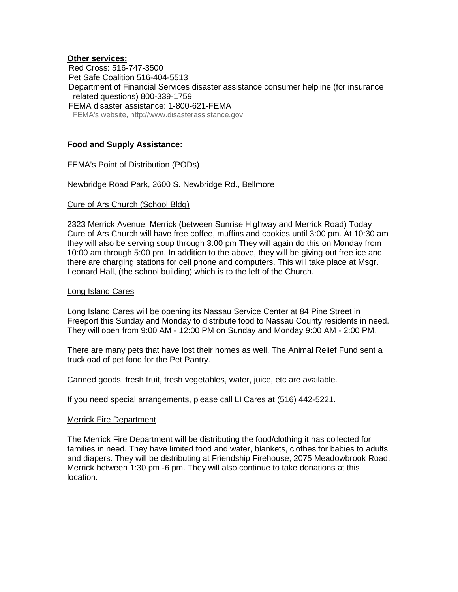## **Other services:**

 Red Cross: 516-747-3500 Pet Safe Coalition 516-404-5513 Department of Financial Services disaster assistance consumer helpline (for insurance related questions) 800-339-1759 FEMA disaster assistance: 1-800-621-FEMA FEMA's website, http://www.disasterassistance.gov

# **Food and Supply Assistance:**

## FEMA's Point of Distribution (PODs)

Newbridge Road Park, 2600 S. Newbridge Rd., Bellmore

#### Cure of Ars Church (School Bldg)

2323 Merrick Avenue, Merrick (between Sunrise Highway and Merrick Road) Today Cure of Ars Church will have free coffee, muffins and cookies until 3:00 pm. At 10:30 am they will also be serving soup through 3:00 pm They will again do this on Monday from 10:00 am through 5:00 pm. In addition to the above, they will be giving out free ice and there are charging stations for cell phone and computers. This will take place at Msgr. Leonard Hall, (the school building) which is to the left of the Church.

#### Long Island Cares

Long Island Cares will be opening its Nassau Service Center at 84 Pine Street in Freeport this Sunday and Monday to distribute food to Nassau County residents in need. They will open from 9:00 AM - 12:00 PM on Sunday and Monday 9:00 AM - 2:00 PM.

There are many pets that have lost their homes as well. The Animal Relief Fund sent a truckload of pet food for the Pet Pantry.

Canned goods, fresh fruit, fresh vegetables, water, juice, etc are available.

If you need special arrangements, please call LI Cares at (516) 442-5221.

#### Merrick Fire Department

The Merrick Fire Department will be distributing the food/clothing it has collected for families in need. They have limited food and water, blankets, clothes for babies to adults and diapers. They will be distributing at Friendship Firehouse, 2075 Meadowbrook Road, Merrick between 1:30 pm -6 pm. They will also continue to take donations at this location.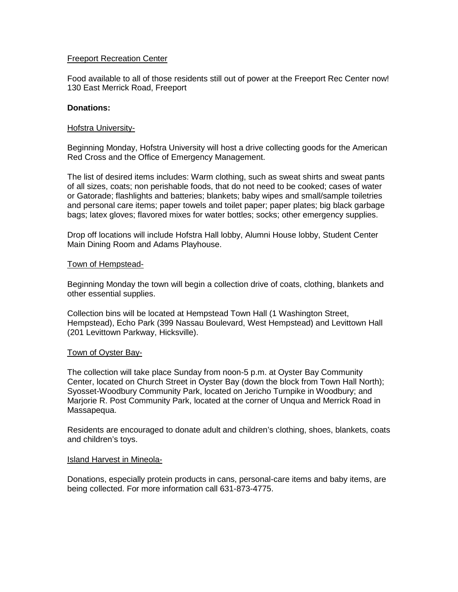# Freeport Recreation Center

Food available to all of those residents still out of power at the Freeport Rec Center now! 130 East Merrick Road, Freeport

## **Donations:**

## Hofstra University-

Beginning Monday, Hofstra University will host a drive collecting goods for the American Red Cross and the Office of Emergency Management.

The list of desired items includes: Warm clothing, such as sweat shirts and sweat pants of all sizes, coats; non perishable foods, that do not need to be cooked; cases of water or Gatorade; flashlights and batteries; blankets; baby wipes and small/sample toiletries and personal care items; paper towels and toilet paper; paper plates; big black garbage bags; latex gloves; flavored mixes for water bottles; socks; other emergency supplies.

Drop off locations will include Hofstra Hall lobby, Alumni House lobby, Student Center Main Dining Room and Adams Playhouse.

## Town of Hempstead-

Beginning Monday the town will begin a collection drive of coats, clothing, blankets and other essential supplies.

Collection bins will be located at Hempstead Town Hall (1 Washington Street, Hempstead), Echo Park (399 Nassau Boulevard, West Hempstead) and Levittown Hall (201 Levittown Parkway, Hicksville).

## Town of Oyster Bay-

The collection will take place Sunday from noon-5 p.m. at Oyster Bay Community Center, located on Church Street in Oyster Bay (down the block from Town Hall North); Syosset-Woodbury Community Park, located on Jericho Turnpike in Woodbury; and Marjorie R. Post Community Park, located at the corner of Unqua and Merrick Road in Massapequa.

Residents are encouraged to donate adult and children's clothing, shoes, blankets, coats and children's toys.

## Island Harvest in Mineola-

Donations, especially protein products in cans, personal-care items and baby items, are being collected. For more information call 631-873-4775.